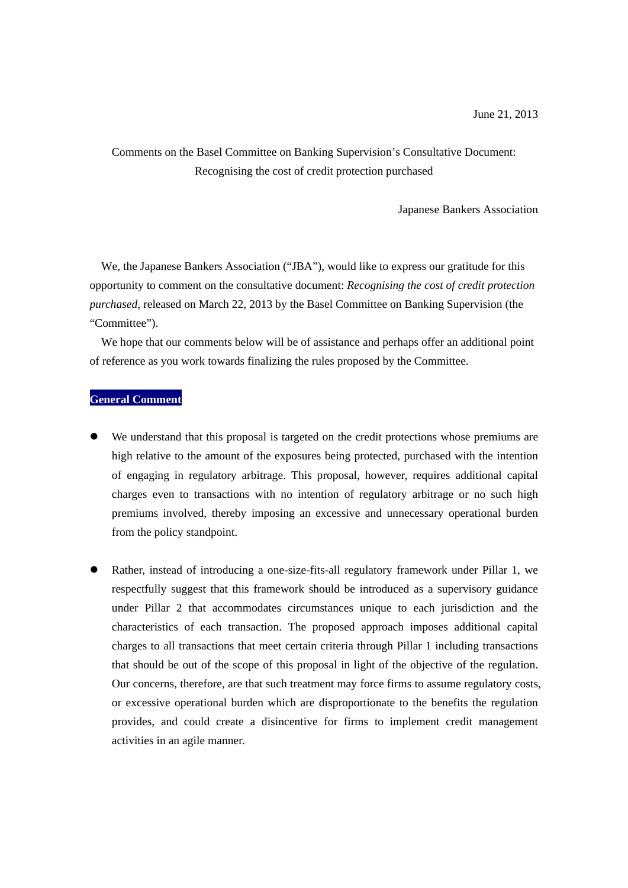## Comments on the Basel Committee on Banking Supervision's Consultative Document: Recognising the cost of credit protection purchased

Japanese Bankers Association

We, the Japanese Bankers Association ("JBA"), would like to express our gratitude for this opportunity to comment on the consultative document: *Recognising the cost of credit protection purchased*, released on March 22, 2013 by the Basel Committee on Banking Supervision (the "Committee").

We hope that our comments below will be of assistance and perhaps offer an additional point of reference as you work towards finalizing the rules proposed by the Committee.

## **General Comment**

- We understand that this proposal is targeted on the credit protections whose premiums are high relative to the amount of the exposures being protected, purchased with the intention of engaging in regulatory arbitrage. This proposal, however, requires additional capital charges even to transactions with no intention of regulatory arbitrage or no such high premiums involved, thereby imposing an excessive and unnecessary operational burden from the policy standpoint.
- Rather, instead of introducing a one-size-fits-all regulatory framework under Pillar 1, we respectfully suggest that this framework should be introduced as a supervisory guidance under Pillar 2 that accommodates circumstances unique to each jurisdiction and the characteristics of each transaction. The proposed approach imposes additional capital charges to all transactions that meet certain criteria through Pillar 1 including transactions that should be out of the scope of this proposal in light of the objective of the regulation. Our concerns, therefore, are that such treatment may force firms to assume regulatory costs, or excessive operational burden which are disproportionate to the benefits the regulation provides, and could create a disincentive for firms to implement credit management activities in an agile manner.